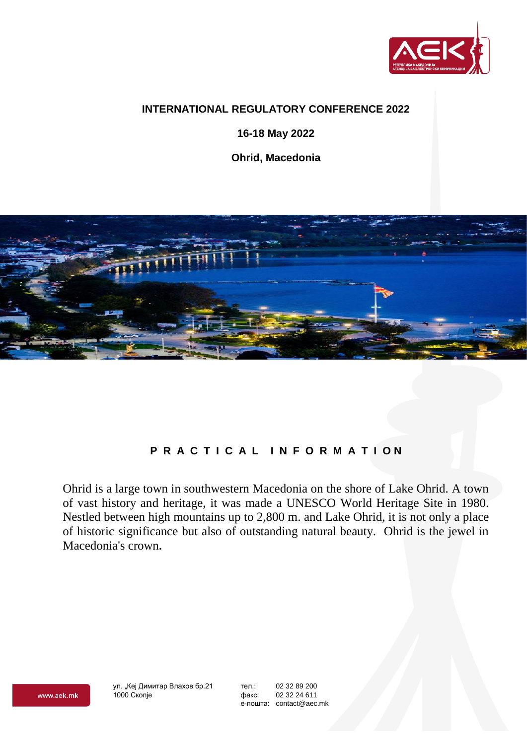

#### **INTERNATIONAL REGULATORY CONFERENCE 2022**

**16-18 May 2022**

**Ohrid, Macedonia**



# **P R A C T I C A L I N F O R M A T I O N**

Ohrid is a large town in southwestern Macedonia on the shore of Lake Ohrid. A town of vast history and heritage, it was made a UNESCO World Heritage Site in 1980. Nestled between high mountains up to 2,800 m. and Lake Ohrid, it is not only a place of historic significance but also of outstanding natural beauty. Ohrid is the jewel in Macedonia's crown**.**

ул. "Кеј Димитар Влахов бр.21 1000 Скопје

тел.: 02 32 89 200 факс: 02 32 24 611 е-пошта: contact@aec.mk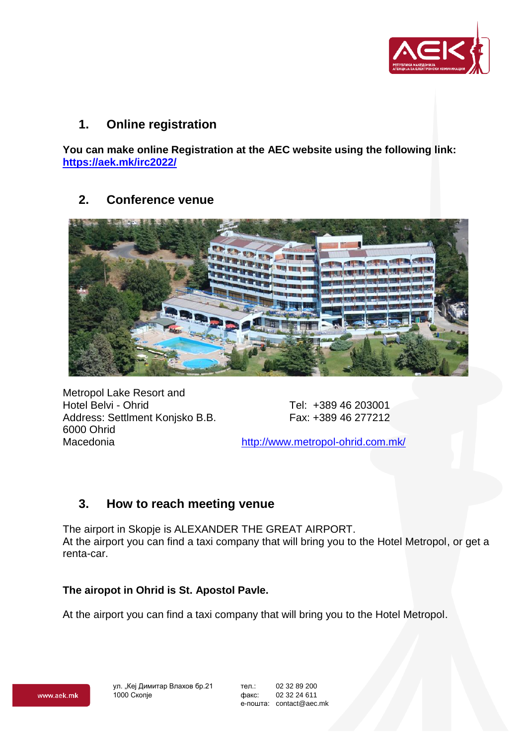

### **1. Online registration**

**You can make online Registration at the AEC website using the following link: <https://aek.mk/irc2022/>**

## **2. Conference venue**



Metropol Lake Resort and Hotel Belvi - Ohrid Tel: +389 46 203001 Address: Settlment Konjsko B.B. Fax: +389 46 277212 6000 Ohrid

Macedonia <http://www.metropol-ohrid.com.mk/>

# **3. How to reach meeting venue**

The airport in Skopje is ALEXANDER THE GREAT AIRPORT. Аt the airport you can find a taxi company that will bring you to the Hotel Metropol, or get a renta-car.

### **The airopot in Ohrid is St. Apostol Pavle.**

Аt the airport you can find a taxi company that will bring you to the Hotel Metropol.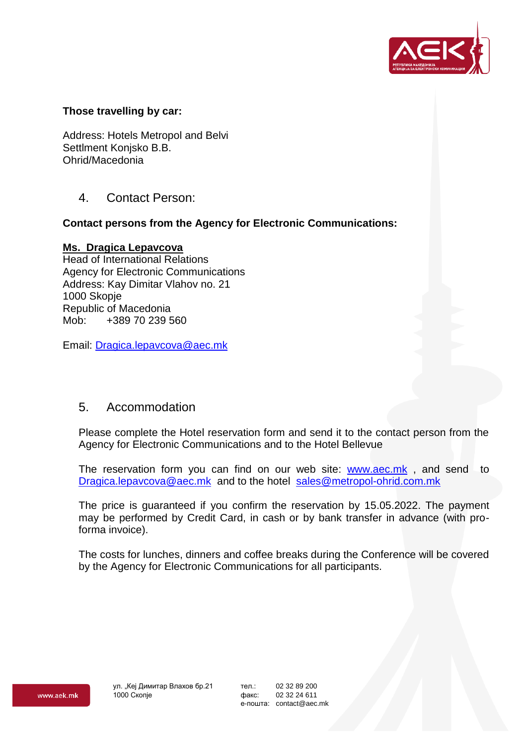

### **Those travelling by car:**

Address: Hotels Metropol and Belvi Settlment Konjsko B.B. Ohrid/Macedonia

4. Contact Person:

### **Contact persons from the Agency for Electronic Communications:**

#### **Ms. Dragica Lepavcova**

Head of International Relations Agency for Electronic Communications Address: Kay Dimitar Vlahov no. 21 1000 Skopje Republic of Macedonia Mob: +389 70 239 560

Email: [Dragica.lepavcova@aec.mk](mailto:Dragica.lepavcova@aec.mk)

### 5. Accommodation

Please complete the Hotel reservation form and send it to the contact person from the Agency for Electronic Communications and to the Hotel Bellevue

The reservation form you can find on our web site: [www.aec.mk](http://www.aec.mk/) , and send to [Dragica.lepavcova@aec.mk](mailto:Dragica.lepavcova@aec.mk) and to the hotel [sales@metropol-ohrid.com.mk](mailto:sales@metropol-ohrid.com.mk)

The price is guaranteed if you confirm the reservation by 15.05.2022. The payment may be performed by Credit Card, in cash or by bank transfer in advance (with proforma invoice).

The costs for lunches, dinners and coffee breaks during the Conference will be covered by the Agency for Electronic Communications for all participants.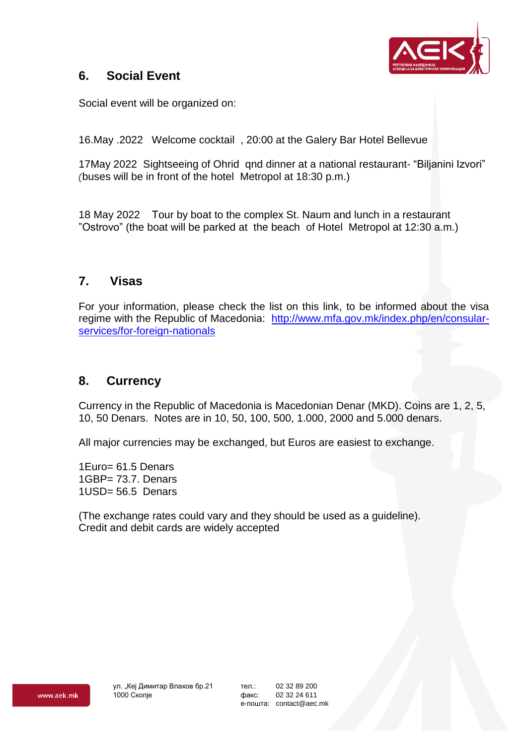

## **6. Social Event**

Social event will be organized on:

16.May .2022 Welcome cocktail , 20:00 at the Galery Bar Hotel Bellevue

17May 2022 Sightseeing of Ohrid qnd dinner at a national restaurant- "Biljanini Izvori" (buses will be in front of the hotel Metropol at 18:30 p.m.)

18 May 2022 Тour by boat to the complex St. Naum and lunch in a restaurant "Ostrovo" (the boat will be parked at the beach of Hotel Metropol at 12:30 a.m.)

### **7. Visas**

For your information, please check the list on this link, to be informed about the visa regime with the Republic of Macedonia: [http://www.mfa.gov.mk/index.php/en/consular](http://www.mfa.gov.mk/index.php/en/consular-services/for-foreign-nationals)[services/for-foreign-nationals](http://www.mfa.gov.mk/index.php/en/consular-services/for-foreign-nationals)

### **8. Currency**

Currency in the Republic of Macedonia is Macedonian Denar (MKD). Coins are 1, 2, 5, 10, 50 Denars. Notes are in 10, 50, 100, 500, 1.000, 2000 and 5.000 denars.

All major currencies may be exchanged, but Euros are easiest to exchange.

1Euro= 61.5 Denars 1GBP= 73.7. Denars  $1USD = 56.5$  Denars

(The exchange rates could vary and they should be used as a guideline). Credit and debit cards are widely accepted